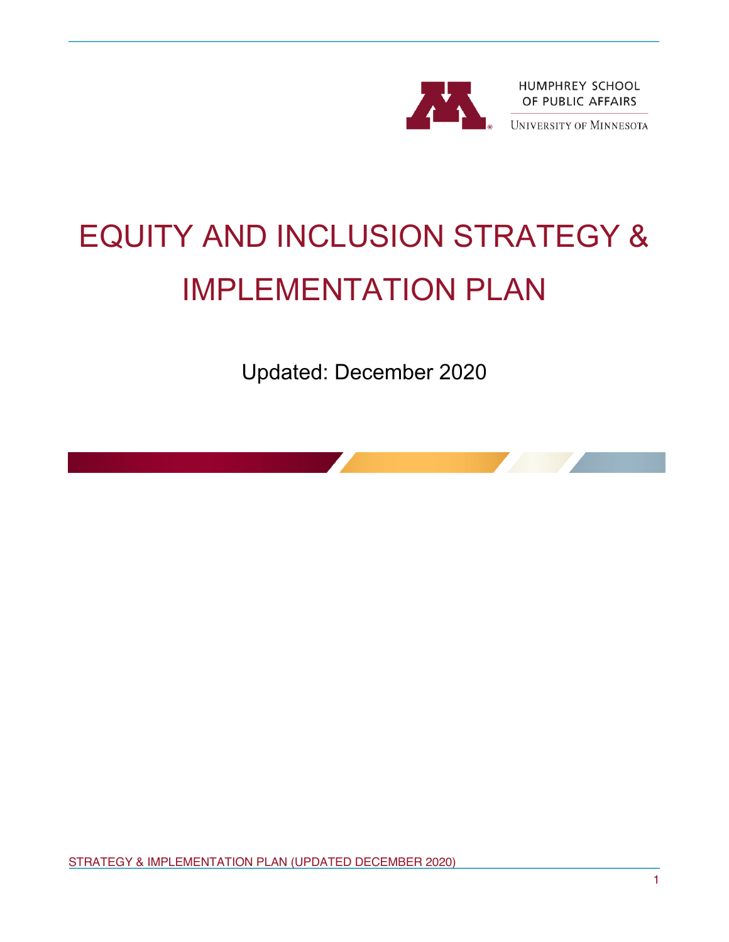

# EQUITY AND INCLUSION STRATEGY & IMPLEMENTATION PLAN

Updated: December 2020



1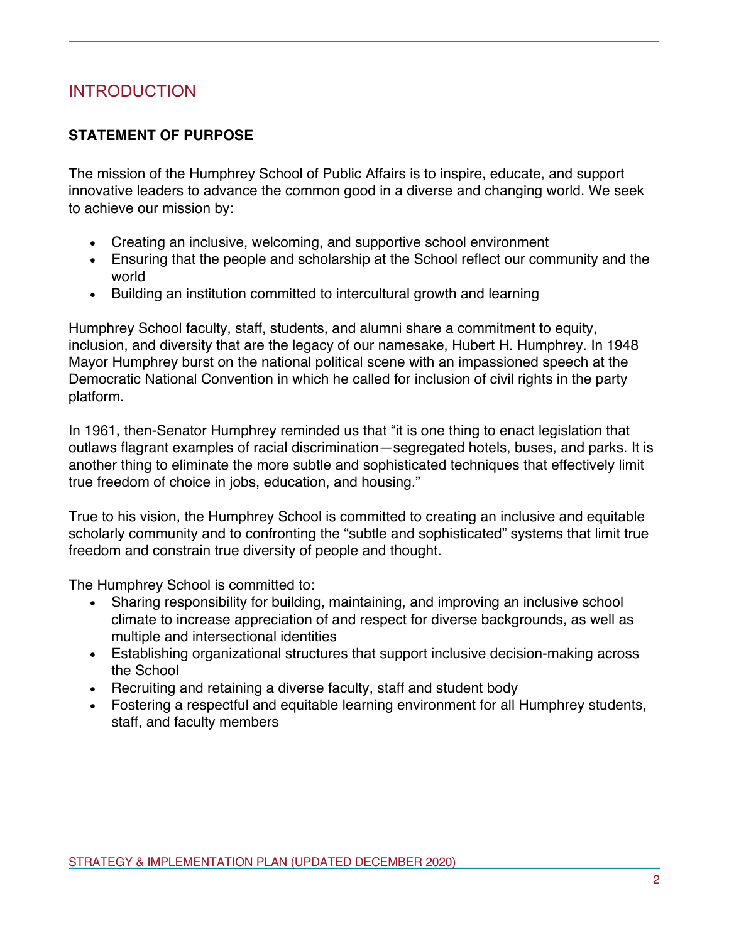# INTRODUCTION

# **STATEMENT OF PURPOSE**

The mission of the Humphrey School of Public Affairs is to inspire, educate, and support innovative leaders to advance the common good in a diverse and changing world. We seek to achieve our mission by:

- Creating an inclusive, welcoming, and supportive school environment
- Ensuring that the people and scholarship at the School reflect our community and the world
- Building an institution committed to intercultural growth and learning

Humphrey School faculty, staff, students, and alumni share a commitment to equity, inclusion, and diversity that are the legacy of our namesake, Hubert H. Humphrey. In 1948 Mayor Humphrey burst on the national political scene with an impassioned speech at the Democratic National Convention in which he called for inclusion of civil rights in the party platform.

In 1961, then-Senator Humphrey reminded us that "it is one thing to enact legislation that outlaws flagrant examples of racial discrimination—segregated hotels, buses, and parks. It is another thing to eliminate the more subtle and sophisticated techniques that effectively limit true freedom of choice in jobs, education, and housing."

True to his vision, the Humphrey School is committed to creating an inclusive and equitable scholarly community and to confronting the "subtle and sophisticated" systems that limit true freedom and constrain true diversity of people and thought.

The Humphrey School is committed to:

- Sharing responsibility for building, maintaining, and improving an inclusive school climate to increase appreciation of and respect for diverse backgrounds, as well as multiple and intersectional identities
- Establishing organizational structures that support inclusive decision-making across the School
- Recruiting and retaining a diverse faculty, staff and student body
- Fostering a respectful and equitable learning environment for all Humphrey students, staff, and faculty members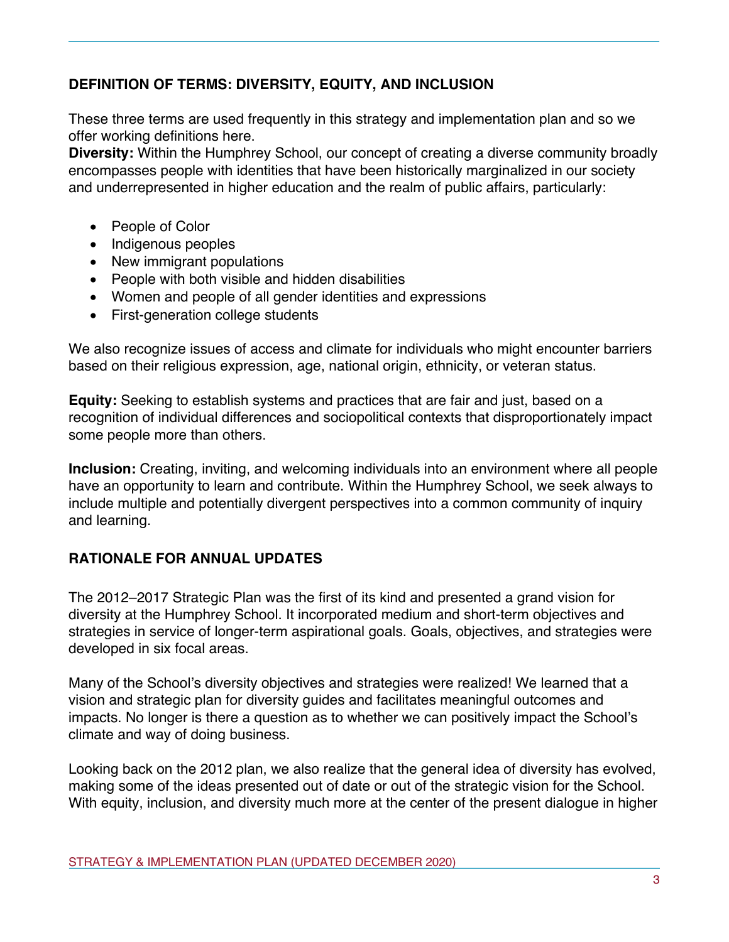# **DEFINITION OF TERMS: DIVERSITY, EQUITY, AND INCLUSION**

These three terms are used frequently in this strategy and implementation plan and so we offer working definitions here.

**Diversity:** Within the Humphrey School, our concept of creating a diverse community broadly encompasses people with identities that have been historically marginalized in our society and underrepresented in higher education and the realm of public affairs, particularly:

- People of Color
- Indigenous peoples
- New immigrant populations
- People with both visible and hidden disabilities
- Women and people of all gender identities and expressions
- First-generation college students

We also recognize issues of access and climate for individuals who might encounter barriers based on their religious expression, age, national origin, ethnicity, or veteran status.

**Equity:** Seeking to establish systems and practices that are fair and just, based on a recognition of individual differences and sociopolitical contexts that disproportionately impact some people more than others.

**Inclusion:** Creating, inviting, and welcoming individuals into an environment where all people have an opportunity to learn and contribute. Within the Humphrey School, we seek always to include multiple and potentially divergent perspectives into a common community of inquiry and learning.

# **RATIONALE FOR ANNUAL UPDATES**

The 2012–2017 Strategic Plan was the first of its kind and presented a grand vision for diversity at the Humphrey School. It incorporated medium and short-term objectives and strategies in service of longer-term aspirational goals. Goals, objectives, and strategies were developed in six focal areas.

Many of the School's diversity objectives and strategies were realized! We learned that a vision and strategic plan for diversity guides and facilitates meaningful outcomes and impacts. No longer is there a question as to whether we can positively impact the School's climate and way of doing business.

Looking back on the 2012 plan, we also realize that the general idea of diversity has evolved, making some of the ideas presented out of date or out of the strategic vision for the School. With equity, inclusion, and diversity much more at the center of the present dialogue in higher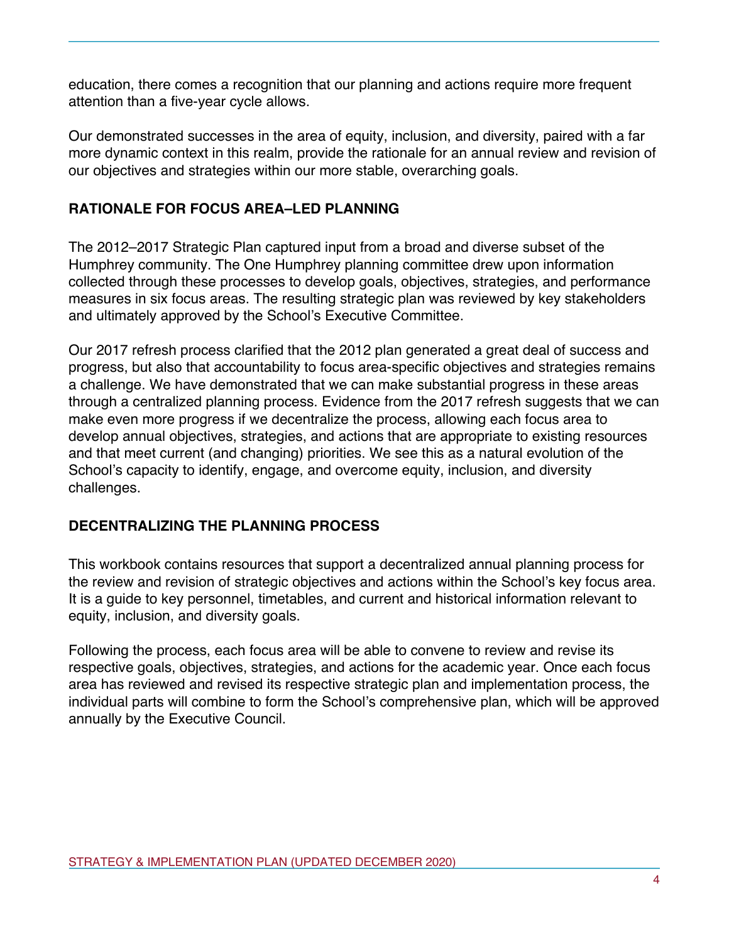education, there comes a recognition that our planning and actions require more frequent attention than a five-year cycle allows.

Our demonstrated successes in the area of equity, inclusion, and diversity, paired with a far more dynamic context in this realm, provide the rationale for an annual review and revision of our objectives and strategies within our more stable, overarching goals.

# **RATIONALE FOR FOCUS AREA–LED PLANNING**

The 2012–2017 Strategic Plan captured input from a broad and diverse subset of the Humphrey community. The One Humphrey planning committee drew upon information collected through these processes to develop goals, objectives, strategies, and performance measures in six focus areas. The resulting strategic plan was reviewed by key stakeholders and ultimately approved by the School's Executive Committee.

Our 2017 refresh process clarified that the 2012 plan generated a great deal of success and progress, but also that accountability to focus area-specific objectives and strategies remains a challenge. We have demonstrated that we can make substantial progress in these areas through a centralized planning process. Evidence from the 2017 refresh suggests that we can make even more progress if we decentralize the process, allowing each focus area to develop annual objectives, strategies, and actions that are appropriate to existing resources and that meet current (and changing) priorities. We see this as a natural evolution of the School's capacity to identify, engage, and overcome equity, inclusion, and diversity challenges.

## **DECENTRALIZING THE PLANNING PROCESS**

This workbook contains resources that support a decentralized annual planning process for the review and revision of strategic objectives and actions within the School's key focus area. It is a guide to key personnel, timetables, and current and historical information relevant to equity, inclusion, and diversity goals.

Following the process, each focus area will be able to convene to review and revise its respective goals, objectives, strategies, and actions for the academic year. Once each focus area has reviewed and revised its respective strategic plan and implementation process, the individual parts will combine to form the School's comprehensive plan, which will be approved annually by the Executive Council.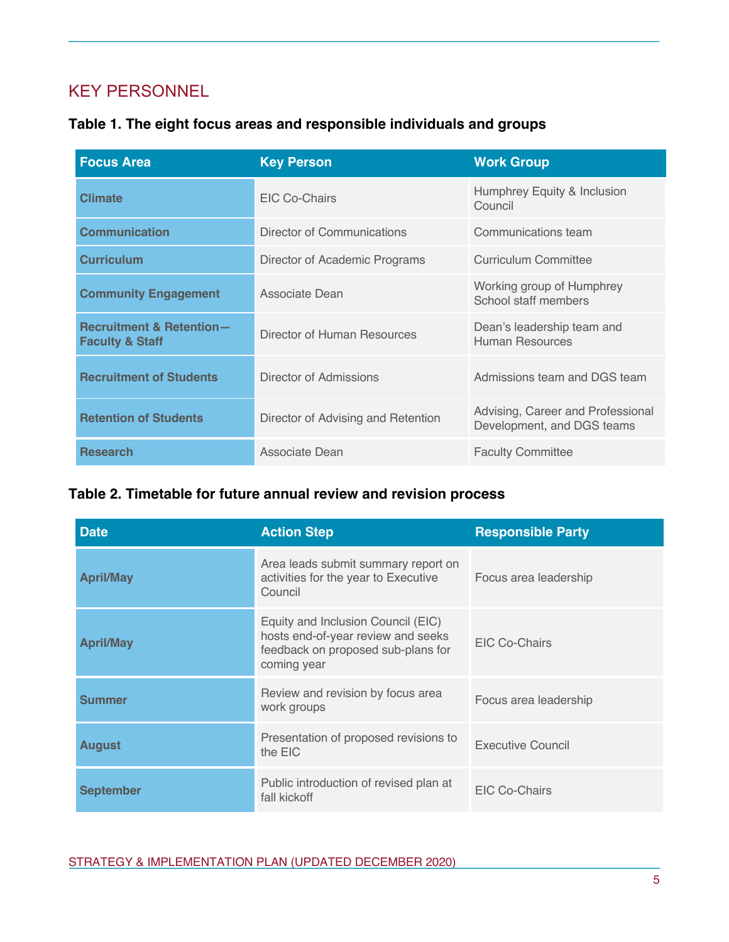# KEY PERSONNEL

| Table 1. The eight focus areas and responsible individuals and groups |  |  |
|-----------------------------------------------------------------------|--|--|
|-----------------------------------------------------------------------|--|--|

| <b>Focus Area</b>                                                 | <b>Key Person</b>                  | <b>Work Group</b>                                               |
|-------------------------------------------------------------------|------------------------------------|-----------------------------------------------------------------|
| <b>Climate</b>                                                    | EIC Co-Chairs                      | Humphrey Equity & Inclusion<br>Council                          |
| <b>Communication</b>                                              | Director of Communications         | Communications team                                             |
| <b>Curriculum</b>                                                 | Director of Academic Programs      | Curriculum Committee                                            |
| <b>Community Engagement</b>                                       | Associate Dean                     | Working group of Humphrey<br>School staff members               |
| <b>Recruitment &amp; Retention-</b><br><b>Faculty &amp; Staff</b> | Director of Human Resources        | Dean's leadership team and<br><b>Human Resources</b>            |
| <b>Recruitment of Students</b>                                    | Director of Admissions             | Admissions team and DGS team                                    |
| <b>Retention of Students</b>                                      | Director of Advising and Retention | Advising, Career and Professional<br>Development, and DGS teams |
| <b>Research</b>                                                   | Associate Dean                     | <b>Faculty Committee</b>                                        |

# **Table 2. Timetable for future annual review and revision process**

| <b>Date</b>      | <b>Action Step</b>                                                                                                            | <b>Responsible Party</b> |
|------------------|-------------------------------------------------------------------------------------------------------------------------------|--------------------------|
| <b>April/May</b> | Area leads submit summary report on<br>activities for the year to Executive<br>Council                                        | Focus area leadership    |
| <b>April/May</b> | Equity and Inclusion Council (EIC)<br>hosts end-of-year review and seeks<br>feedback on proposed sub-plans for<br>coming year | EIC Co-Chairs            |
| <b>Summer</b>    | Review and revision by focus area<br>work groups                                                                              | Focus area leadership    |
| <b>August</b>    | Presentation of proposed revisions to<br>the EIC                                                                              | <b>Executive Council</b> |
| <b>September</b> | Public introduction of revised plan at<br>fall kickoff                                                                        | EIC Co-Chairs            |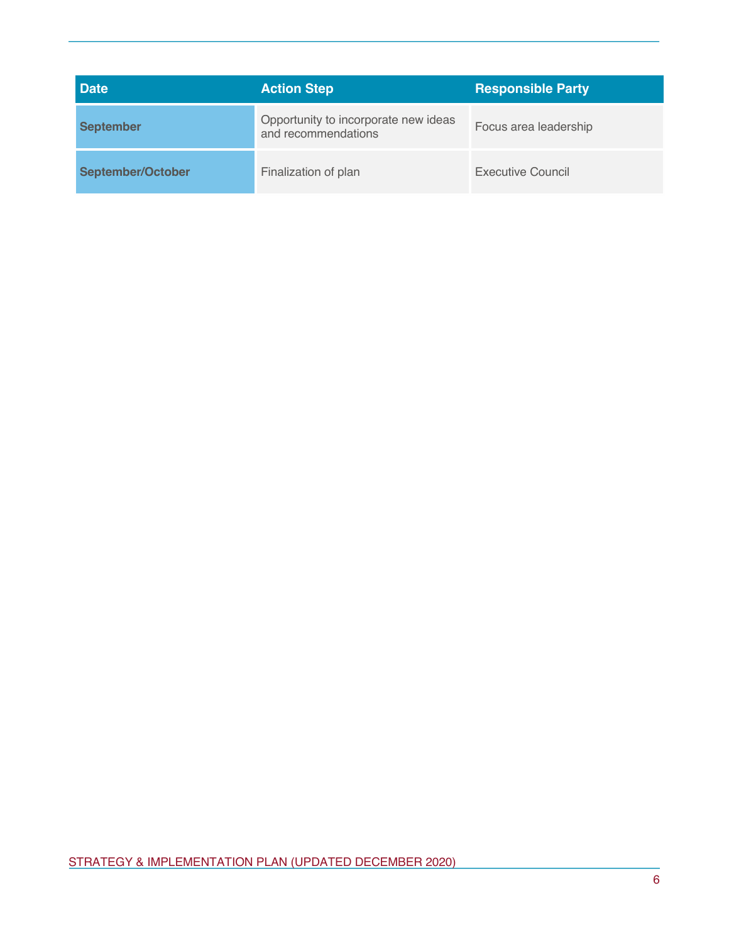| <b>Date</b>       | <b>Action Step</b>                                          | <b>Responsible Party</b> |
|-------------------|-------------------------------------------------------------|--------------------------|
| <b>September</b>  | Opportunity to incorporate new ideas<br>and recommendations | Focus area leadership    |
| September/October | Finalization of plan                                        | Executive Council        |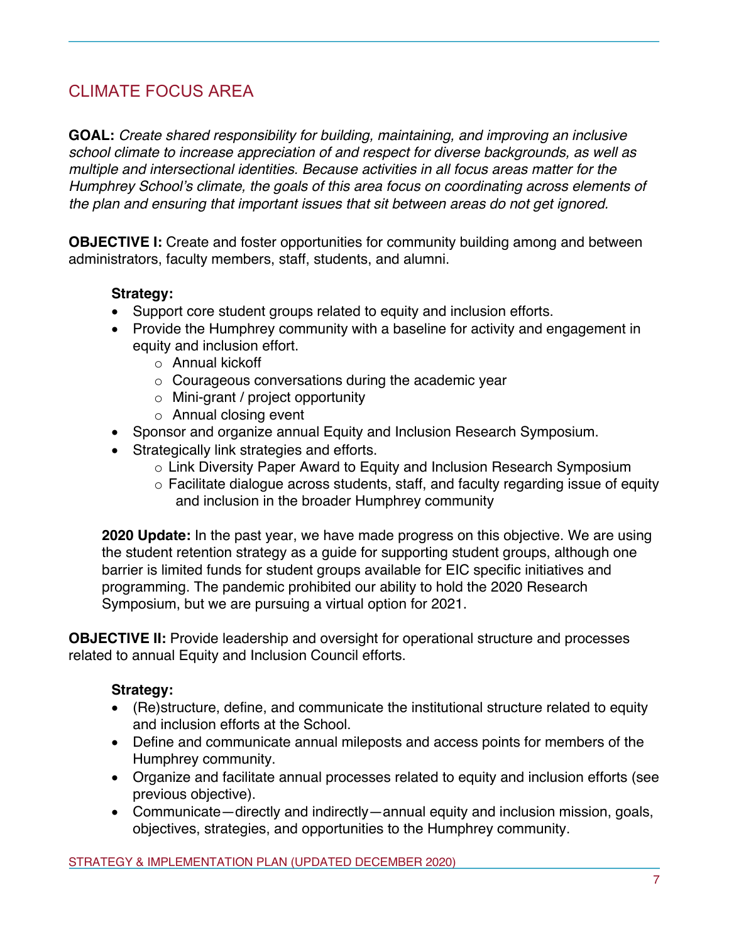# CLIMATE FOCUS AREA

**GOAL:** *Create shared responsibility for building, maintaining, and improving an inclusive school climate to increase appreciation of and respect for diverse backgrounds, as well as multiple and intersectional identities. Because activities in all focus areas matter for the Humphrey School's climate, the goals of this area focus on coordinating across elements of the plan and ensuring that important issues that sit between areas do not get ignored.*

**OBJECTIVE I:** Create and foster opportunities for community building among and between administrators, faculty members, staff, students, and alumni.

#### **Strategy:**

- Support core student groups related to equity and inclusion efforts.
- Provide the Humphrey community with a baseline for activity and engagement in equity and inclusion effort.
	- o Annual kickoff
	- o Courageous conversations during the academic year
	- o Mini-grant / project opportunity
	- o Annual closing event
- Sponsor and organize annual Equity and Inclusion Research Symposium.
- Strategically link strategies and efforts.
	- o Link Diversity Paper Award to Equity and Inclusion Research Symposium
	- o Facilitate dialogue across students, staff, and faculty regarding issue of equity and inclusion in the broader Humphrey community

**2020 Update:** In the past year, we have made progress on this objective. We are using the student retention strategy as a guide for supporting student groups, although one barrier is limited funds for student groups available for EIC specific initiatives and programming. The pandemic prohibited our ability to hold the 2020 Research Symposium, but we are pursuing a virtual option for 2021.

**OBJECTIVE II:** Provide leadership and oversight for operational structure and processes related to annual Equity and Inclusion Council efforts.

- (Re)structure, define, and communicate the institutional structure related to equity and inclusion efforts at the School.
- Define and communicate annual mileposts and access points for members of the Humphrey community.
- Organize and facilitate annual processes related to equity and inclusion efforts (see previous objective).
- Communicate—directly and indirectly—annual equity and inclusion mission, goals, objectives, strategies, and opportunities to the Humphrey community.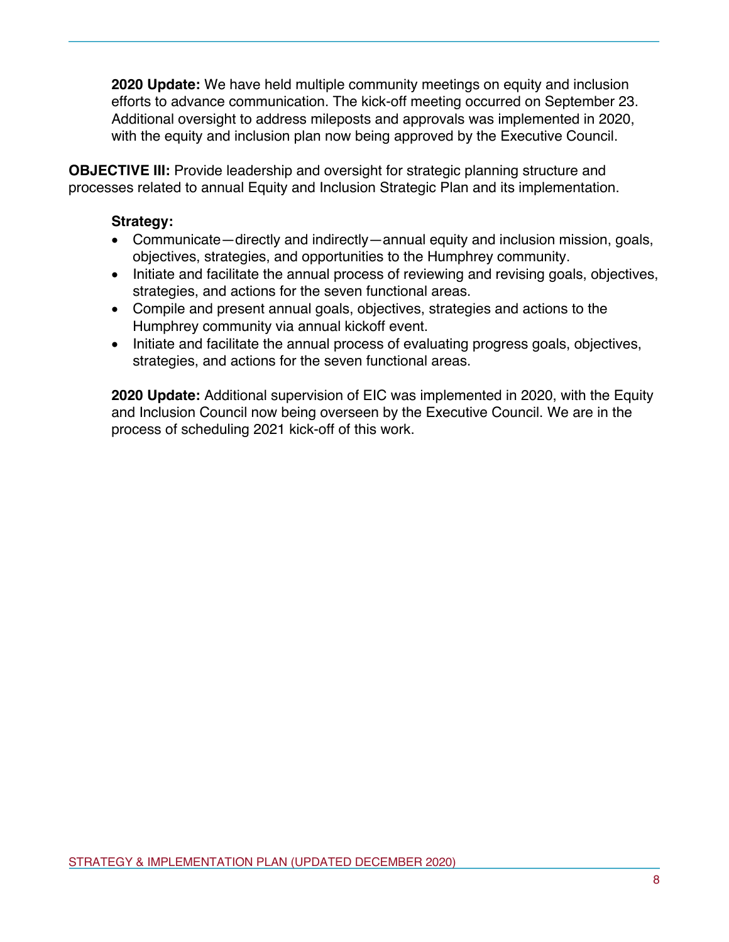**2020 Update:** We have held multiple community meetings on equity and inclusion efforts to advance communication. The kick-off meeting occurred on September 23. Additional oversight to address mileposts and approvals was implemented in 2020, with the equity and inclusion plan now being approved by the Executive Council.

**OBJECTIVE III:** Provide leadership and oversight for strategic planning structure and processes related to annual Equity and Inclusion Strategic Plan and its implementation.

## **Strategy:**

- Communicate—directly and indirectly—annual equity and inclusion mission, goals, objectives, strategies, and opportunities to the Humphrey community.
- Initiate and facilitate the annual process of reviewing and revising goals, objectives, strategies, and actions for the seven functional areas.
- Compile and present annual goals, objectives, strategies and actions to the Humphrey community via annual kickoff event.
- Initiate and facilitate the annual process of evaluating progress goals, objectives, strategies, and actions for the seven functional areas.

**2020 Update:** Additional supervision of EIC was implemented in 2020, with the Equity and Inclusion Council now being overseen by the Executive Council. We are in the process of scheduling 2021 kick-off of this work.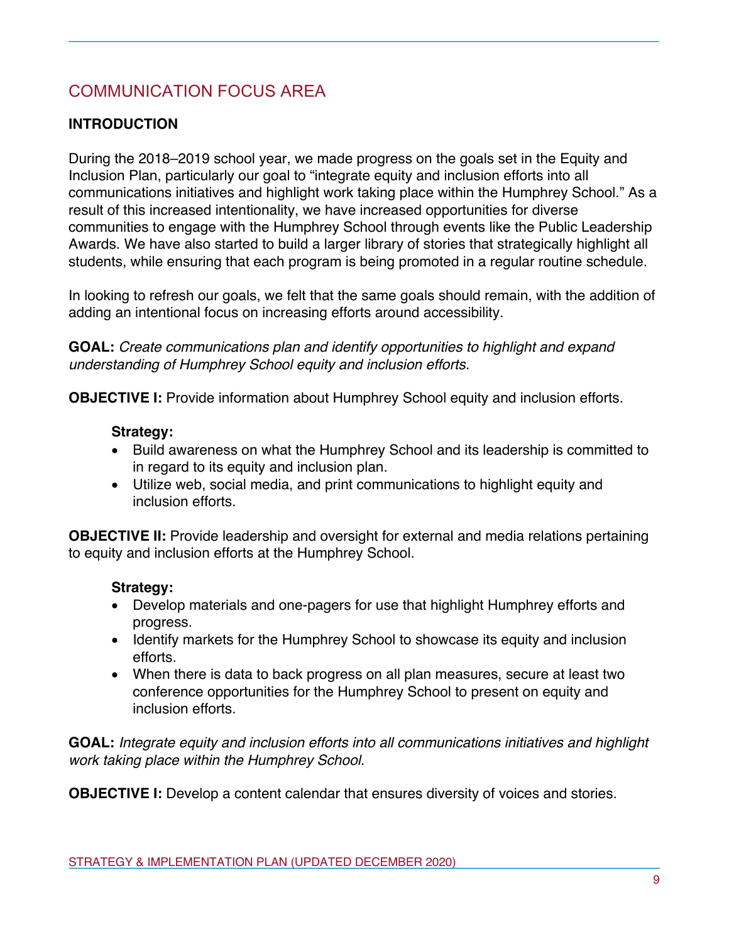# COMMUNICATION FOCUS AREA

# **INTRODUCTION**

During the 2018–2019 school year, we made progress on the goals set in the Equity and Inclusion Plan, particularly our goal to "integrate equity and inclusion efforts into all communications initiatives and highlight work taking place within the Humphrey School." As a result of this increased intentionality, we have increased opportunities for diverse communities to engage with the Humphrey School through events like the Public Leadership Awards. We have also started to build a larger library of stories that strategically highlight all students, while ensuring that each program is being promoted in a regular routine schedule.

In looking to refresh our goals, we felt that the same goals should remain, with the addition of adding an intentional focus on increasing efforts around accessibility.

**GOAL:** *Create communications plan and identify opportunities to highlight and expand understanding of Humphrey School equity and inclusion efforts.*

**OBJECTIVE I:** Provide information about Humphrey School equity and inclusion efforts.

#### **Strategy:**

- Build awareness on what the Humphrey School and its leadership is committed to in regard to its equity and inclusion plan.
- Utilize web, social media, and print communications to highlight equity and inclusion efforts.

**OBJECTIVE II:** Provide leadership and oversight for external and media relations pertaining to equity and inclusion efforts at the Humphrey School.

## **Strategy:**

- Develop materials and one-pagers for use that highlight Humphrey efforts and progress.
- Identify markets for the Humphrey School to showcase its equity and inclusion efforts.
- When there is data to back progress on all plan measures, secure at least two conference opportunities for the Humphrey School to present on equity and inclusion efforts.

**GOAL:** *Integrate equity and inclusion efforts into all communications initiatives and highlight work taking place within the Humphrey School.*

**OBJECTIVE I:** Develop a content calendar that ensures diversity of voices and stories.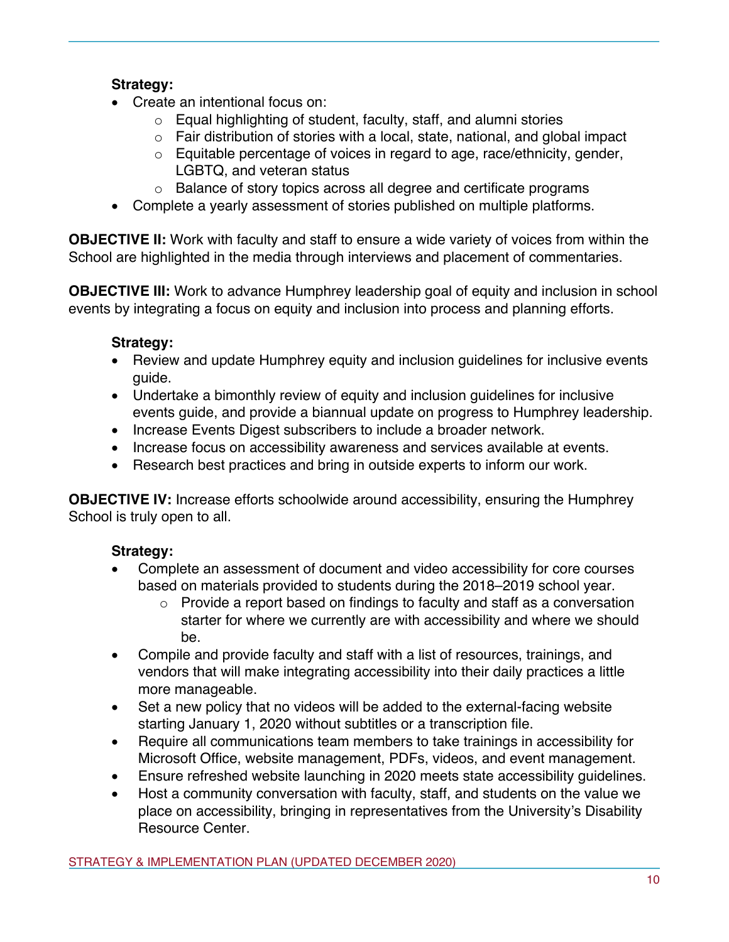# **Strategy:**

- Create an intentional focus on:
	- o Equal highlighting of student, faculty, staff, and alumni stories
	- $\circ$  Fair distribution of stories with a local, state, national, and global impact
	- $\circ$  Equitable percentage of voices in regard to age, race/ethnicity, gender, LGBTQ, and veteran status
	- o Balance of story topics across all degree and certificate programs
- Complete a yearly assessment of stories published on multiple platforms.

**OBJECTIVE II:** Work with faculty and staff to ensure a wide variety of voices from within the School are highlighted in the media through interviews and placement of commentaries.

**OBJECTIVE III:** Work to advance Humphrey leadership goal of equity and inclusion in school events by integrating a focus on equity and inclusion into process and planning efforts.

# **Strategy:**

- Review and update Humphrey equity and inclusion guidelines for inclusive events guide.
- Undertake a bimonthly review of equity and inclusion guidelines for inclusive events guide, and provide a biannual update on progress to Humphrey leadership.
- Increase Events Digest subscribers to include a broader network.
- Increase focus on accessibility awareness and services available at events.
- Research best practices and bring in outside experts to inform our work.

**OBJECTIVE IV:** Increase efforts schoolwide around accessibility, ensuring the Humphrey School is truly open to all.

- Complete an assessment of document and video accessibility for core courses based on materials provided to students during the 2018–2019 school year.
	- o Provide a report based on findings to faculty and staff as a conversation starter for where we currently are with accessibility and where we should be.
- Compile and provide faculty and staff with a list of resources, trainings, and vendors that will make integrating accessibility into their daily practices a little more manageable.
- Set a new policy that no videos will be added to the external-facing website starting January 1, 2020 without subtitles or a transcription file.
- Require all communications team members to take trainings in accessibility for Microsoft Office, website management, PDFs, videos, and event management.
- Ensure refreshed website launching in 2020 meets state accessibility guidelines.
- Host a community conversation with faculty, staff, and students on the value we place on accessibility, bringing in representatives from the University's Disability Resource Center.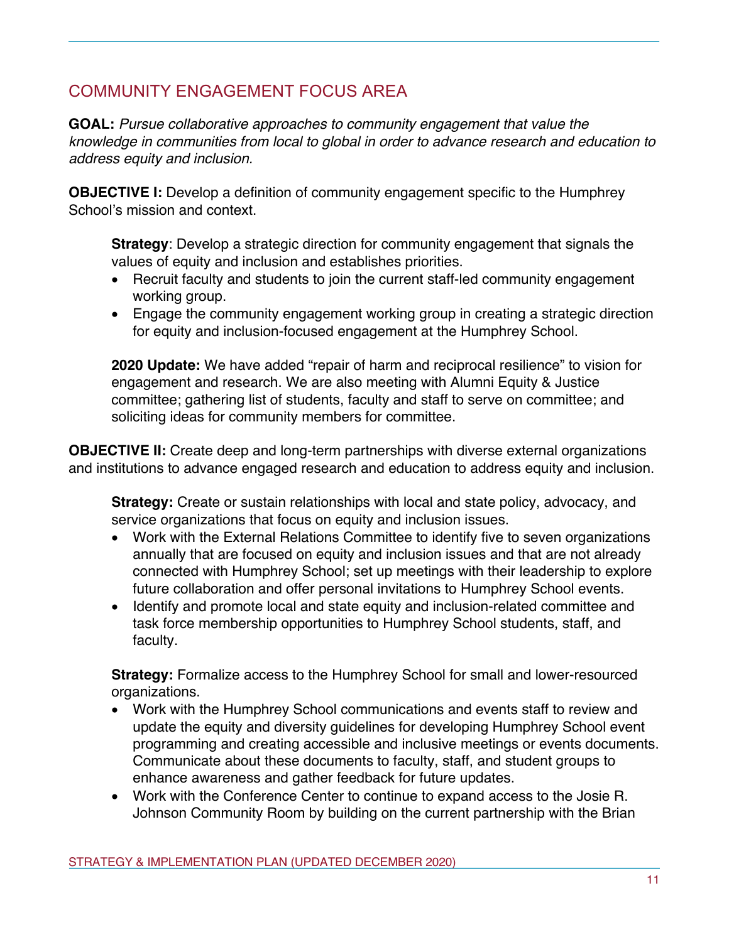# COMMUNITY ENGAGEMENT FOCUS AREA

**GOAL:** *Pursue collaborative approaches to community engagement that value the knowledge in communities from local to global in order to advance research and education to address equity and inclusion.*

**OBJECTIVE I:** Develop a definition of community engagement specific to the Humphrey School's mission and context.

**Strategy**: Develop a strategic direction for community engagement that signals the values of equity and inclusion and establishes priorities.

- Recruit faculty and students to join the current staff-led community engagement working group.
- Engage the community engagement working group in creating a strategic direction for equity and inclusion-focused engagement at the Humphrey School.

**2020 Update:** We have added "repair of harm and reciprocal resilience" to vision for engagement and research. We are also meeting with Alumni Equity & Justice committee; gathering list of students, faculty and staff to serve on committee; and soliciting ideas for community members for committee.

**OBJECTIVE II:** Create deep and long-term partnerships with diverse external organizations and institutions to advance engaged research and education to address equity and inclusion.

**Strategy:** Create or sustain relationships with local and state policy, advocacy, and service organizations that focus on equity and inclusion issues.

- Work with the External Relations Committee to identify five to seven organizations annually that are focused on equity and inclusion issues and that are not already connected with Humphrey School; set up meetings with their leadership to explore future collaboration and offer personal invitations to Humphrey School events.
- Identify and promote local and state equity and inclusion-related committee and task force membership opportunities to Humphrey School students, staff, and faculty.

**Strategy:** Formalize access to the Humphrey School for small and lower-resourced organizations.

- Work with the Humphrey School communications and events staff to review and update the equity and diversity guidelines for developing Humphrey School event programming and creating accessible and inclusive meetings or events documents. Communicate about these documents to faculty, staff, and student groups to enhance awareness and gather feedback for future updates.
- Work with the Conference Center to continue to expand access to the Josie R. Johnson Community Room by building on the current partnership with the Brian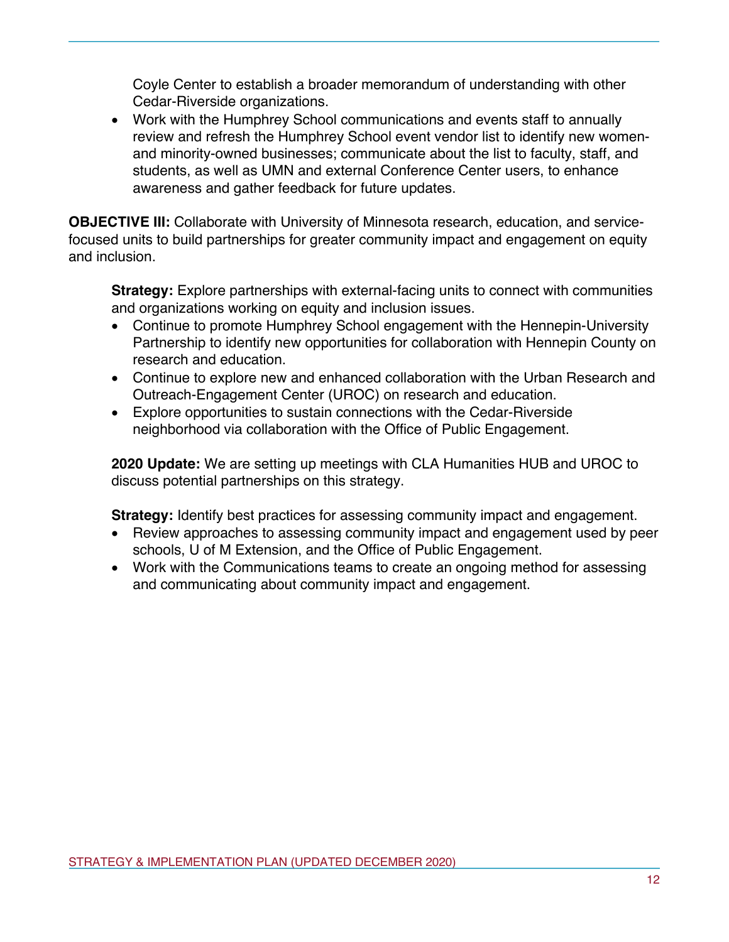Coyle Center to establish a broader memorandum of understanding with other Cedar-Riverside organizations.

• Work with the Humphrey School communications and events staff to annually review and refresh the Humphrey School event vendor list to identify new womenand minority-owned businesses; communicate about the list to faculty, staff, and students, as well as UMN and external Conference Center users, to enhance awareness and gather feedback for future updates.

**OBJECTIVE III:** Collaborate with University of Minnesota research, education, and servicefocused units to build partnerships for greater community impact and engagement on equity and inclusion.

**Strategy:** Explore partnerships with external-facing units to connect with communities and organizations working on equity and inclusion issues.

- Continue to promote Humphrey School engagement with the Hennepin-University Partnership to identify new opportunities for collaboration with Hennepin County on research and education.
- Continue to explore new and enhanced collaboration with the Urban Research and Outreach-Engagement Center (UROC) on research and education.
- Explore opportunities to sustain connections with the Cedar-Riverside neighborhood via collaboration with the Office of Public Engagement.

**2020 Update:** We are setting up meetings with CLA Humanities HUB and UROC to discuss potential partnerships on this strategy.

**Strategy:** Identify best practices for assessing community impact and engagement.

- Review approaches to assessing community impact and engagement used by peer schools, U of M Extension, and the Office of Public Engagement.
- Work with the Communications teams to create an ongoing method for assessing and communicating about community impact and engagement.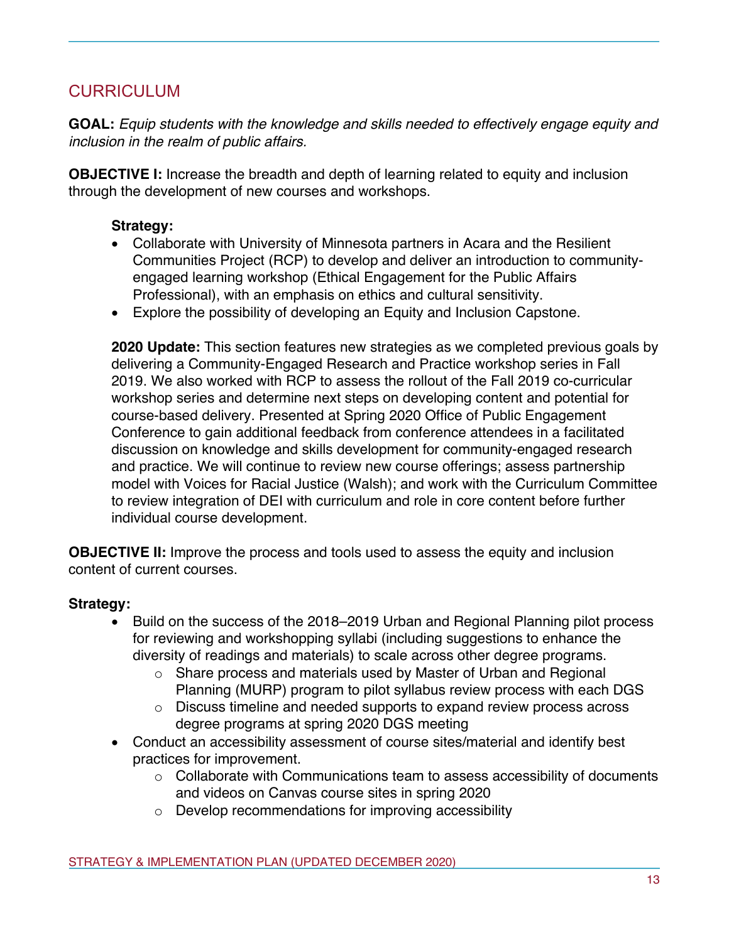# CURRICULUM

**GOAL:** *Equip students with the knowledge and skills needed to effectively engage equity and inclusion in the realm of public affairs.*

**OBJECTIVE I:** Increase the breadth and depth of learning related to equity and inclusion through the development of new courses and workshops.

#### **Strategy:**

- Collaborate with University of Minnesota partners in Acara and the Resilient Communities Project (RCP) to develop and deliver an introduction to communityengaged learning workshop (Ethical Engagement for the Public Affairs Professional), with an emphasis on ethics and cultural sensitivity.
- Explore the possibility of developing an Equity and Inclusion Capstone.

**2020 Update:** This section features new strategies as we completed previous goals by delivering a Community-Engaged Research and Practice workshop series in Fall 2019. We also worked with RCP to assess the rollout of the Fall 2019 co-curricular workshop series and determine next steps on developing content and potential for course-based delivery. Presented at Spring 2020 Office of Public Engagement Conference to gain additional feedback from conference attendees in a facilitated discussion on knowledge and skills development for community-engaged research and practice. We will continue to review new course offerings; assess partnership model with Voices for Racial Justice (Walsh); and work with the Curriculum Committee to review integration of DEI with curriculum and role in core content before further individual course development.

**OBJECTIVE II:** Improve the process and tools used to assess the equity and inclusion content of current courses.

- Build on the success of the 2018–2019 Urban and Regional Planning pilot process for reviewing and workshopping syllabi (including suggestions to enhance the diversity of readings and materials) to scale across other degree programs.
	- $\circ$  Share process and materials used by Master of Urban and Regional Planning (MURP) program to pilot syllabus review process with each DGS
	- $\circ$  Discuss timeline and needed supports to expand review process across degree programs at spring 2020 DGS meeting
- Conduct an accessibility assessment of course sites/material and identify best practices for improvement.
	- o Collaborate with Communications team to assess accessibility of documents and videos on Canvas course sites in spring 2020
	- o Develop recommendations for improving accessibility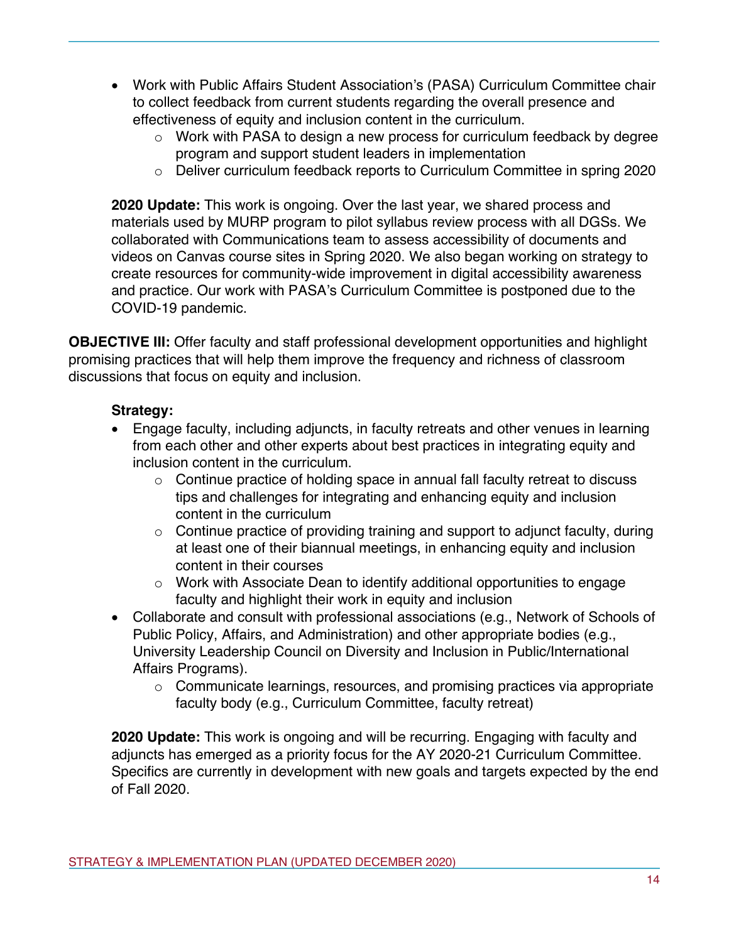- Work with Public Affairs Student Association's (PASA) Curriculum Committee chair to collect feedback from current students regarding the overall presence and effectiveness of equity and inclusion content in the curriculum.
	- o Work with PASA to design a new process for curriculum feedback by degree program and support student leaders in implementation
	- o Deliver curriculum feedback reports to Curriculum Committee in spring 2020

**2020 Update:** This work is ongoing. Over the last year, we shared process and materials used by MURP program to pilot syllabus review process with all DGSs. We collaborated with Communications team to assess accessibility of documents and videos on Canvas course sites in Spring 2020. We also began working on strategy to create resources for community-wide improvement in digital accessibility awareness and practice. Our work with PASA's Curriculum Committee is postponed due to the COVID-19 pandemic.

**OBJECTIVE III:** Offer faculty and staff professional development opportunities and highlight promising practices that will help them improve the frequency and richness of classroom discussions that focus on equity and inclusion.

## **Strategy:**

- Engage faculty, including adjuncts, in faculty retreats and other venues in learning from each other and other experts about best practices in integrating equity and inclusion content in the curriculum.
	- $\circ$  Continue practice of holding space in annual fall faculty retreat to discuss tips and challenges for integrating and enhancing equity and inclusion content in the curriculum
	- $\circ$  Continue practice of providing training and support to adjunct faculty, during at least one of their biannual meetings, in enhancing equity and inclusion content in their courses
	- o Work with Associate Dean to identify additional opportunities to engage faculty and highlight their work in equity and inclusion
- Collaborate and consult with professional associations (e.g., Network of Schools of Public Policy, Affairs, and Administration) and other appropriate bodies (e.g., University Leadership Council on Diversity and Inclusion in Public/International Affairs Programs).
	- o Communicate learnings, resources, and promising practices via appropriate faculty body (e.g., Curriculum Committee, faculty retreat)

**2020 Update:** This work is ongoing and will be recurring. Engaging with faculty and adjuncts has emerged as a priority focus for the AY 2020-21 Curriculum Committee. Specifics are currently in development with new goals and targets expected by the end of Fall 2020.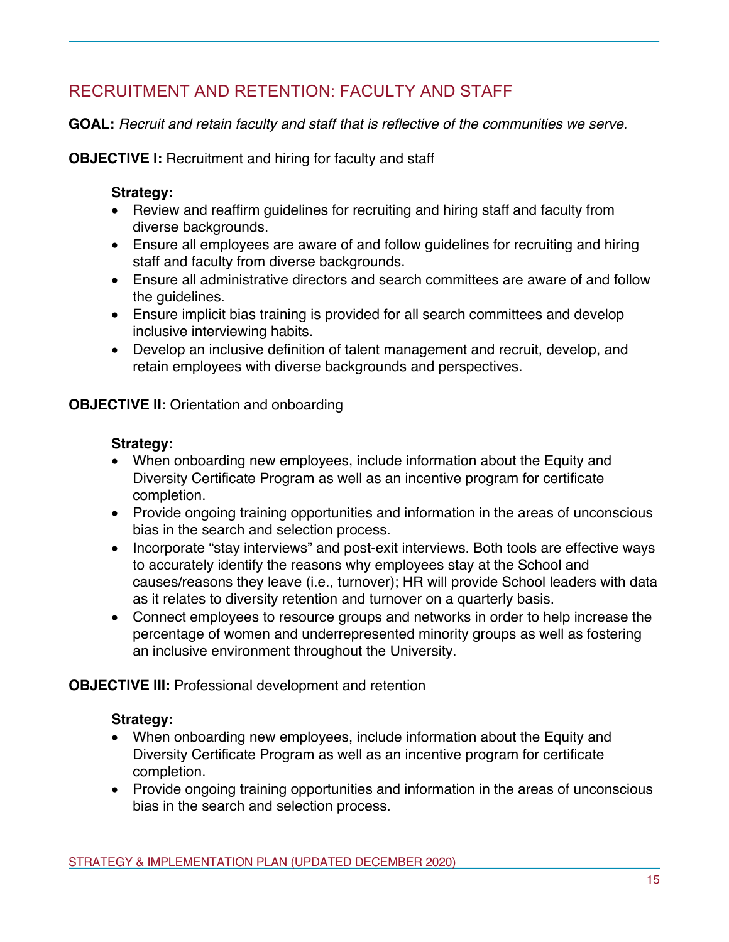# RECRUITMENT AND RETENTION: FACULTY AND STAFF

**GOAL:** *Recruit and retain faculty and staff that is reflective of the communities we serve.*

**OBJECTIVE I:** Recruitment and hiring for faculty and staff

## **Strategy:**

- Review and reaffirm guidelines for recruiting and hiring staff and faculty from diverse backgrounds.
- Ensure all employees are aware of and follow guidelines for recruiting and hiring staff and faculty from diverse backgrounds.
- Ensure all administrative directors and search committees are aware of and follow the quidelines.
- Ensure implicit bias training is provided for all search committees and develop inclusive interviewing habits.
- Develop an inclusive definition of talent management and recruit, develop, and retain employees with diverse backgrounds and perspectives.

## **OBJECTIVE II:** Orientation and onboarding

## **Strategy:**

- When onboarding new employees, include information about the Equity and Diversity Certificate Program as well as an incentive program for certificate completion.
- Provide ongoing training opportunities and information in the areas of unconscious bias in the search and selection process.
- Incorporate "stay interviews" and post-exit interviews. Both tools are effective ways to accurately identify the reasons why employees stay at the School and causes/reasons they leave (i.e., turnover); HR will provide School leaders with data as it relates to diversity retention and turnover on a quarterly basis.
- Connect employees to resource groups and networks in order to help increase the percentage of women and underrepresented minority groups as well as fostering an inclusive environment throughout the University.

## **OBJECTIVE III:** Professional development and retention

- When onboarding new employees, include information about the Equity and Diversity Certificate Program as well as an incentive program for certificate completion.
- Provide ongoing training opportunities and information in the areas of unconscious bias in the search and selection process.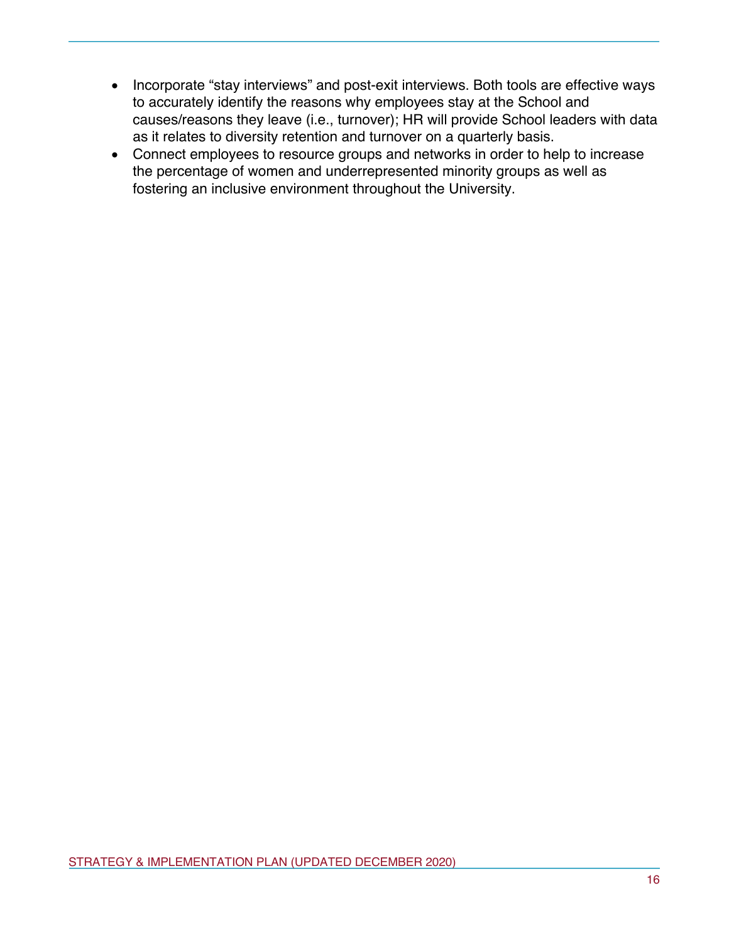- Incorporate "stay interviews" and post-exit interviews. Both tools are effective ways to accurately identify the reasons why employees stay at the School and causes/reasons they leave (i.e., turnover); HR will provide School leaders with data as it relates to diversity retention and turnover on a quarterly basis.
- Connect employees to resource groups and networks in order to help to increase the percentage of women and underrepresented minority groups as well as fostering an inclusive environment throughout the University.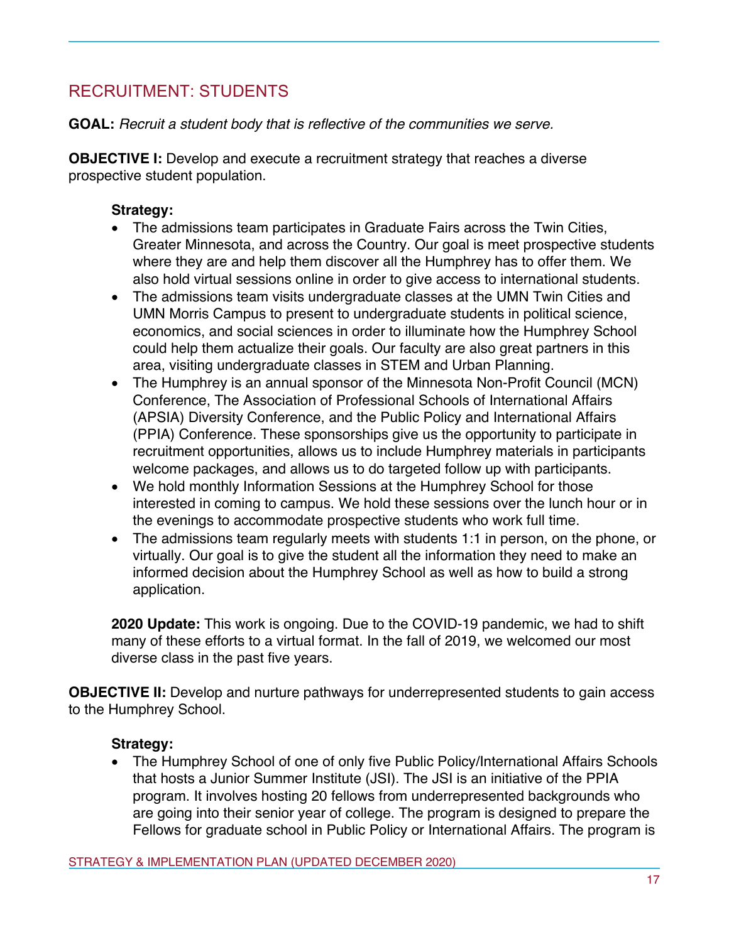# RECRUITMENT: STUDENTS

**GOAL:** *Recruit a student body that is reflective of the communities we serve.*

**OBJECTIVE I:** Develop and execute a recruitment strategy that reaches a diverse prospective student population.

## **Strategy:**

- The admissions team participates in Graduate Fairs across the Twin Cities, Greater Minnesota, and across the Country. Our goal is meet prospective students where they are and help them discover all the Humphrey has to offer them. We also hold virtual sessions online in order to give access to international students.
- The admissions team visits undergraduate classes at the UMN Twin Cities and UMN Morris Campus to present to undergraduate students in political science, economics, and social sciences in order to illuminate how the Humphrey School could help them actualize their goals. Our faculty are also great partners in this area, visiting undergraduate classes in STEM and Urban Planning.
- The Humphrey is an annual sponsor of the Minnesota Non-Profit Council (MCN) Conference, The Association of Professional Schools of International Affairs (APSIA) Diversity Conference, and the Public Policy and International Affairs (PPIA) Conference. These sponsorships give us the opportunity to participate in recruitment opportunities, allows us to include Humphrey materials in participants welcome packages, and allows us to do targeted follow up with participants.
- We hold monthly Information Sessions at the Humphrey School for those interested in coming to campus. We hold these sessions over the lunch hour or in the evenings to accommodate prospective students who work full time.
- The admissions team regularly meets with students 1:1 in person, on the phone, or virtually. Our goal is to give the student all the information they need to make an informed decision about the Humphrey School as well as how to build a strong application.

**2020 Update:** This work is ongoing. Due to the COVID-19 pandemic, we had to shift many of these efforts to a virtual format. In the fall of 2019, we welcomed our most diverse class in the past five years.

**OBJECTIVE II:** Develop and nurture pathways for underrepresented students to gain access to the Humphrey School.

# **Strategy:**

• The Humphrey School of one of only five Public Policy/International Affairs Schools that hosts a Junior Summer Institute (JSI). The JSI is an initiative of the PPIA program. It involves hosting 20 fellows from underrepresented backgrounds who are going into their senior year of college. The program is designed to prepare the Fellows for graduate school in Public Policy or International Affairs. The program is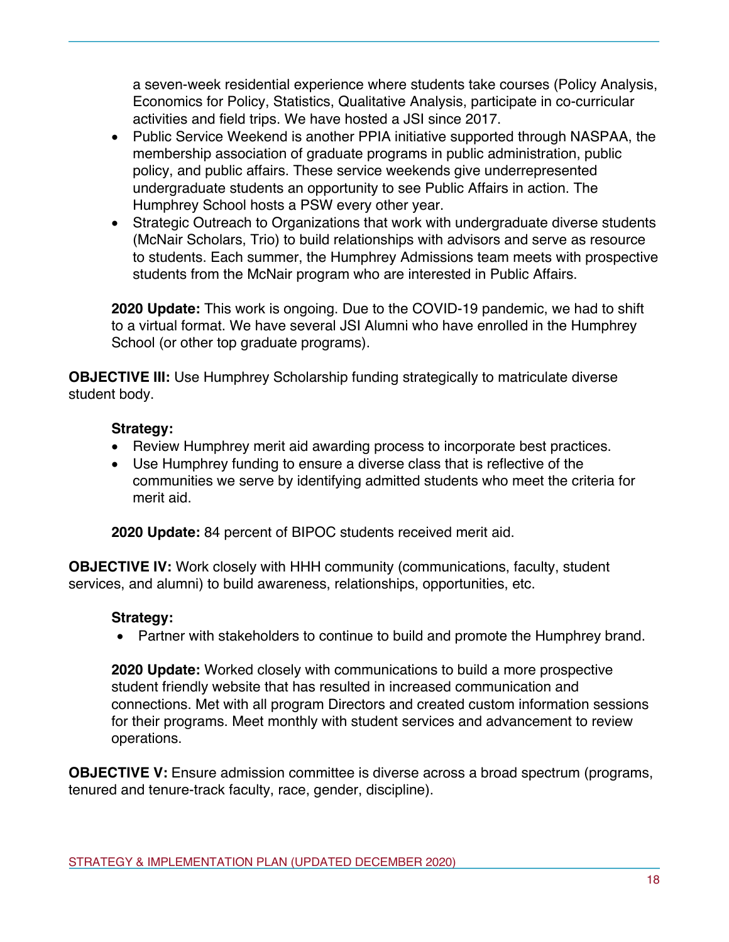a seven-week residential experience where students take courses (Policy Analysis, Economics for Policy, Statistics, Qualitative Analysis, participate in co-curricular activities and field trips. We have hosted a JSI since 2017.

- Public Service Weekend is another PPIA initiative supported through NASPAA, the membership association of graduate programs in public administration, public policy, and public affairs. These service weekends give underrepresented undergraduate students an opportunity to see Public Affairs in action. The Humphrey School hosts a PSW every other year.
- Strategic Outreach to Organizations that work with undergraduate diverse students (McNair Scholars, Trio) to build relationships with advisors and serve as resource to students. Each summer, the Humphrey Admissions team meets with prospective students from the McNair program who are interested in Public Affairs.

**2020 Update:** This work is ongoing. Due to the COVID-19 pandemic, we had to shift to a virtual format. We have several JSI Alumni who have enrolled in the Humphrey School (or other top graduate programs).

**OBJECTIVE III:** Use Humphrey Scholarship funding strategically to matriculate diverse student body.

# **Strategy:**

- Review Humphrey merit aid awarding process to incorporate best practices.
- Use Humphrey funding to ensure a diverse class that is reflective of the communities we serve by identifying admitted students who meet the criteria for merit aid.

**2020 Update:** 84 percent of BIPOC students received merit aid.

**OBJECTIVE IV:** Work closely with HHH community (communications, faculty, student services, and alumni) to build awareness, relationships, opportunities, etc.

# **Strategy:**

• Partner with stakeholders to continue to build and promote the Humphrey brand.

**2020 Update:** Worked closely with communications to build a more prospective student friendly website that has resulted in increased communication and connections. Met with all program Directors and created custom information sessions for their programs. Meet monthly with student services and advancement to review operations.

**OBJECTIVE V:** Ensure admission committee is diverse across a broad spectrum (programs, tenured and tenure-track faculty, race, gender, discipline).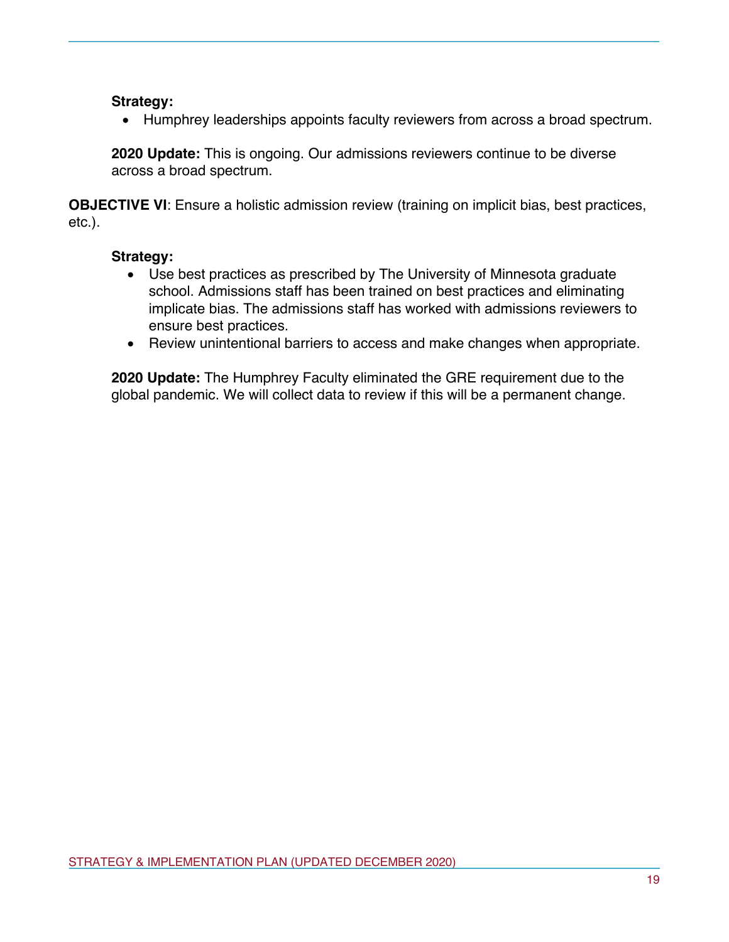#### **Strategy:**

• Humphrey leaderships appoints faculty reviewers from across a broad spectrum.

**2020 Update:** This is ongoing. Our admissions reviewers continue to be diverse across a broad spectrum.

**OBJECTIVE VI**: Ensure a holistic admission review (training on implicit bias, best practices, etc.).

## **Strategy:**

- Use best practices as prescribed by The University of Minnesota graduate school. Admissions staff has been trained on best practices and eliminating implicate bias. The admissions staff has worked with admissions reviewers to ensure best practices.
- Review unintentional barriers to access and make changes when appropriate.

**2020 Update:** The Humphrey Faculty eliminated the GRE requirement due to the global pandemic. We will collect data to review if this will be a permanent change.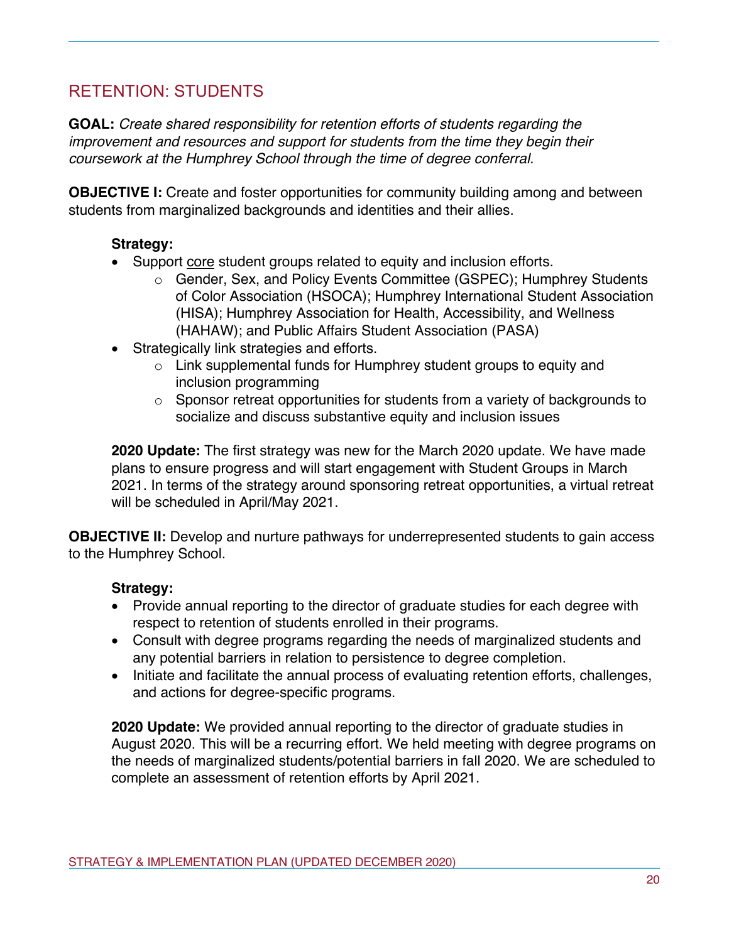# RETENTION: STUDENTS

**GOAL:** *Create shared responsibility for retention efforts of students regarding the improvement and resources and support for students from the time they begin their coursework at the Humphrey School through the time of degree conferral.*

**OBJECTIVE I:** Create and foster opportunities for community building among and between students from marginalized backgrounds and identities and their allies.

## **Strategy:**

- Support core student groups related to equity and inclusion efforts.
	- o Gender, Sex, and Policy Events Committee (GSPEC); Humphrey Students of Color Association (HSOCA); Humphrey International Student Association (HISA); Humphrey Association for Health, Accessibility, and Wellness (HAHAW); and Public Affairs Student Association (PASA)
- Strategically link strategies and efforts.
	- o Link supplemental funds for Humphrey student groups to equity and inclusion programming
	- o Sponsor retreat opportunities for students from a variety of backgrounds to socialize and discuss substantive equity and inclusion issues

**2020 Update:** The first strategy was new for the March 2020 update. We have made plans to ensure progress and will start engagement with Student Groups in March 2021. In terms of the strategy around sponsoring retreat opportunities, a virtual retreat will be scheduled in April/May 2021.

**OBJECTIVE II:** Develop and nurture pathways for underrepresented students to gain access to the Humphrey School.

## **Strategy:**

- Provide annual reporting to the director of graduate studies for each degree with respect to retention of students enrolled in their programs.
- Consult with degree programs regarding the needs of marginalized students and any potential barriers in relation to persistence to degree completion.
- Initiate and facilitate the annual process of evaluating retention efforts, challenges, and actions for degree-specific programs.

**2020 Update:** We provided annual reporting to the director of graduate studies in August 2020. This will be a recurring effort. We held meeting with degree programs on the needs of marginalized students/potential barriers in fall 2020. We are scheduled to complete an assessment of retention efforts by April 2021.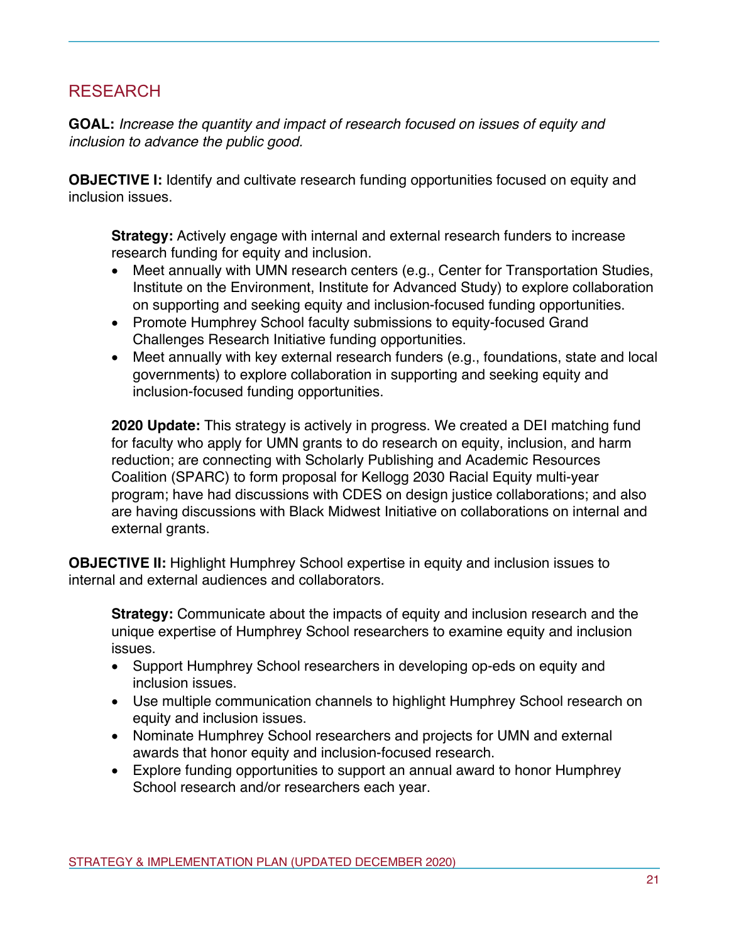# RESEARCH

**GOAL:** *Increase the quantity and impact of research focused on issues of equity and inclusion to advance the public good.*

**OBJECTIVE I:** Identify and cultivate research funding opportunities focused on equity and inclusion issues.

**Strategy:** Actively engage with internal and external research funders to increase research funding for equity and inclusion.

- Meet annually with UMN research centers (e.g., Center for Transportation Studies, Institute on the Environment, Institute for Advanced Study) to explore collaboration on supporting and seeking equity and inclusion-focused funding opportunities.
- Promote Humphrey School faculty submissions to equity-focused Grand Challenges Research Initiative funding opportunities.
- Meet annually with key external research funders (e.g., foundations, state and local governments) to explore collaboration in supporting and seeking equity and inclusion-focused funding opportunities.

**2020 Update:** This strategy is actively in progress. We created a DEI matching fund for faculty who apply for UMN grants to do research on equity, inclusion, and harm reduction; are connecting with Scholarly Publishing and Academic Resources Coalition (SPARC) to form proposal for Kellogg 2030 Racial Equity multi-year program; have had discussions with CDES on design justice collaborations; and also are having discussions with Black Midwest Initiative on collaborations on internal and external grants.

**OBJECTIVE II:** Highlight Humphrey School expertise in equity and inclusion issues to internal and external audiences and collaborators.

**Strategy:** Communicate about the impacts of equity and inclusion research and the unique expertise of Humphrey School researchers to examine equity and inclusion issues.

- Support Humphrey School researchers in developing op-eds on equity and inclusion issues.
- Use multiple communication channels to highlight Humphrey School research on equity and inclusion issues.
- Nominate Humphrey School researchers and projects for UMN and external awards that honor equity and inclusion-focused research.
- Explore funding opportunities to support an annual award to honor Humphrey School research and/or researchers each year.